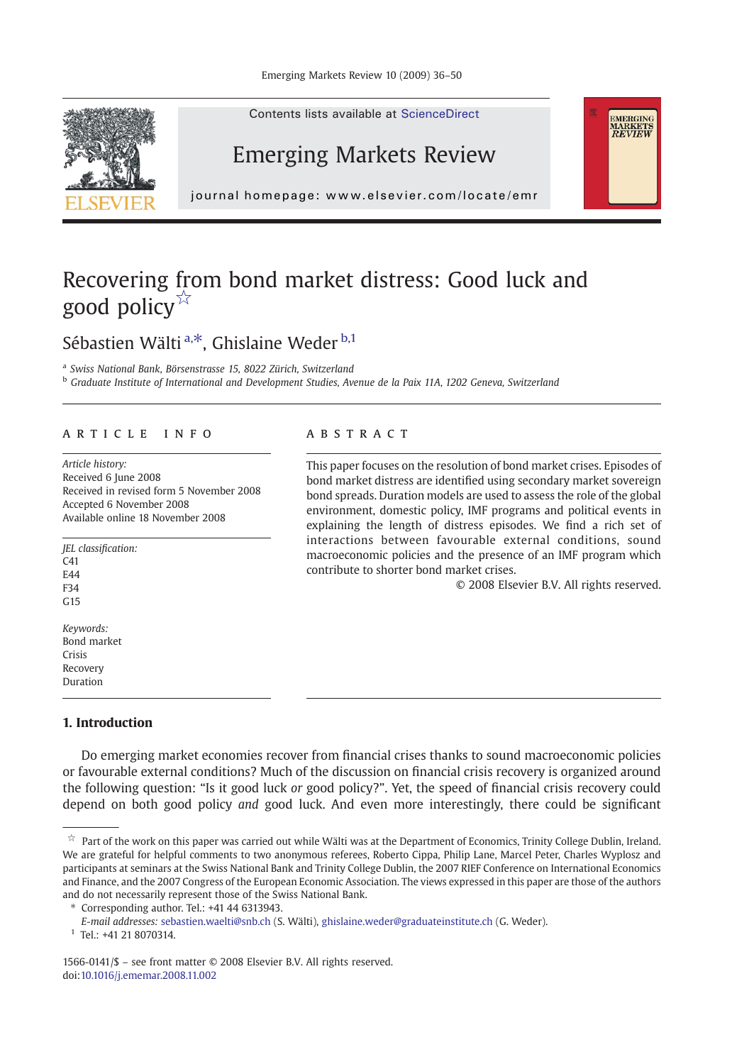

Contents lists available at ScienceDirect

## Emerging Markets Review

journal homepage: www.elsevier.com/locate/emr

## Recovering from bond market distress: Good luck and good policy☆

## Sébastien Wälti<sup>a,\*</sup>, Ghislaine Weder<sup>b,1</sup>

<sup>a</sup> Swiss National Bank, Börsenstrasse 15, 8022 Zürich, Switzerland

<sup>b</sup> Graduate Institute of International and Development Studies, Avenue de la Paix 11A, 1202 Geneva, Switzerland

### article info abstract

Article history: Received 6 June 2008 Received in revised form 5 November 2008 Accepted 6 November 2008 Available online 18 November 2008

JEL classification: C41 E44 F34  $G<sub>15</sub>$ 

Keywords: Bond market Crisis Recovery Duration

This paper focuses on the resolution of bond market crises. Episodes of bond market distress are identified using secondary market sovereign bond spreads. Duration models are used to assess the role of the global environment, domestic policy, IMF programs and political events in explaining the length of distress episodes. We find a rich set of interactions between favourable external conditions, sound macroeconomic policies and the presence of an IMF program which contribute to shorter bond market crises.

© 2008 Elsevier B.V. All rights reserved.

EMERGING<br>MARKETS<br>*REVIEW* 

### 1. Introduction

Do emerging market economies recover from financial crises thanks to sound macroeconomic policies or favourable external conditions? Much of the discussion on financial crisis recovery is organized around the following question: "Is it good luck or good policy?". Yet, the speed of financial crisis recovery could depend on both good policy and good luck. And even more interestingly, there could be significant

1566-0141/\$ – see front matter © 2008 Elsevier B.V. All rights reserved. doi:[10.1016/j.ememar.2008.11.002](http://dx.doi.org/10.1016/j.ememar.2008.11.002)

 $\dot{\tilde{x}}$  Part of the work on this paper was carried out while Wälti was at the Department of Economics, Trinity College Dublin, Ireland. We are grateful for helpful comments to two anonymous referees, Roberto Cippa, Philip Lane, Marcel Peter, Charles Wyplosz and participants at seminars at the Swiss National Bank and Trinity College Dublin, the 2007 RIEF Conference on International Economics and Finance, and the 2007 Congress of the European Economic Association. The views expressed in this paper are those of the authors and do not necessarily represent those of the Swiss National Bank.

<sup>⁎</sup> Corresponding author. Tel.: +41 44 6313943.

E-mail addresses: [sebastien.waelti@snb.ch](mailto:sebastien.waelti@snb.ch) (S. Wälti), [ghislaine.weder@graduateinstitute.ch](mailto:ghislaine.weder@graduateinstitute.ch) (G. Weder).

<sup>1</sup> Tel.: +41 21 8070314.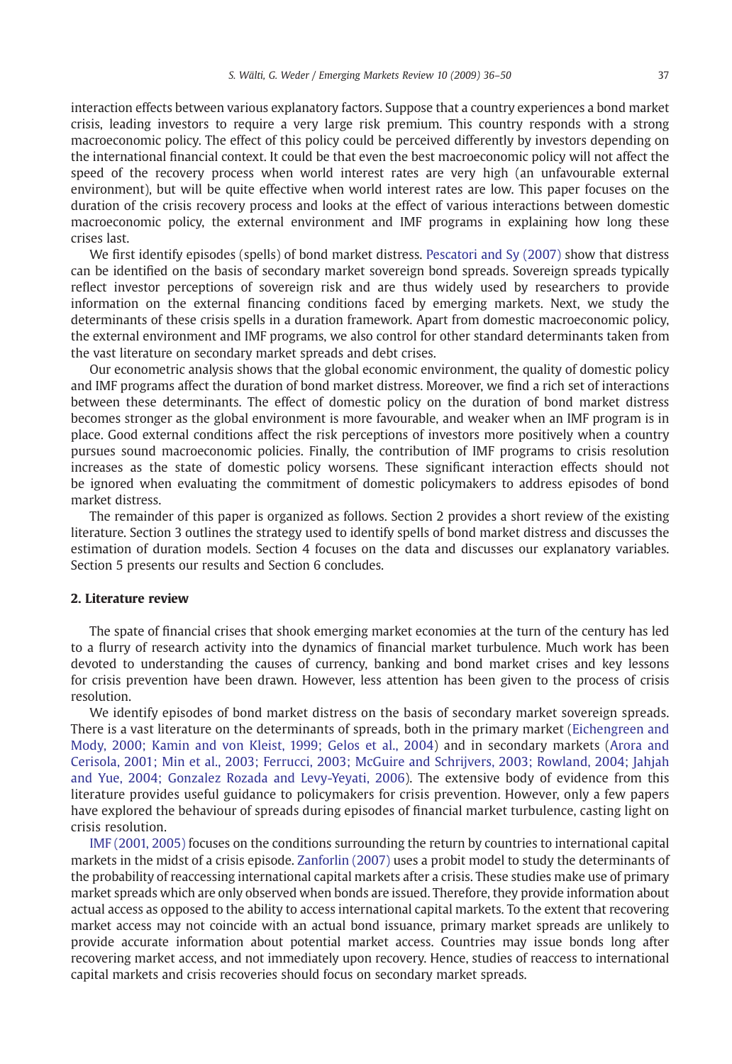interaction effects between various explanatory factors. Suppose that a country experiences a bond market crisis, leading investors to require a very large risk premium. This country responds with a strong macroeconomic policy. The effect of this policy could be perceived differently by investors depending on the international financial context. It could be that even the best macroeconomic policy will not affect the speed of the recovery process when world interest rates are very high (an unfavourable external environment), but will be quite effective when world interest rates are low. This paper focuses on the duration of the crisis recovery process and looks at the effect of various interactions between domestic macroeconomic policy, the external environment and IMF programs in explaining how long these crises last.

We first identify episodes (spells) of bond market distress. [Pescatori and Sy \(2007\)](#page--1-0) show that distress can be identified on the basis of secondary market sovereign bond spreads. Sovereign spreads typically reflect investor perceptions of sovereign risk and are thus widely used by researchers to provide information on the external financing conditions faced by emerging markets. Next, we study the determinants of these crisis spells in a duration framework. Apart from domestic macroeconomic policy, the external environment and IMF programs, we also control for other standard determinants taken from the vast literature on secondary market spreads and debt crises.

Our econometric analysis shows that the global economic environment, the quality of domestic policy and IMF programs affect the duration of bond market distress. Moreover, we find a rich set of interactions between these determinants. The effect of domestic policy on the duration of bond market distress becomes stronger as the global environment is more favourable, and weaker when an IMF program is in place. Good external conditions affect the risk perceptions of investors more positively when a country pursues sound macroeconomic policies. Finally, the contribution of IMF programs to crisis resolution increases as the state of domestic policy worsens. These significant interaction effects should not be ignored when evaluating the commitment of domestic policymakers to address episodes of bond market distress.

The remainder of this paper is organized as follows. Section 2 provides a short review of the existing literature. Section 3 outlines the strategy used to identify spells of bond market distress and discusses the estimation of duration models. Section 4 focuses on the data and discusses our explanatory variables. Section 5 presents our results and Section 6 concludes.

### 2. Literature review

The spate of financial crises that shook emerging market economies at the turn of the century has led to a flurry of research activity into the dynamics of financial market turbulence. Much work has been devoted to understanding the causes of currency, banking and bond market crises and key lessons for crisis prevention have been drawn. However, less attention has been given to the process of crisis resolution.

We identify episodes of bond market distress on the basis of secondary market sovereign spreads. There is a vast literature on the determinants of spreads, both in the primary market ([Eichengreen and](#page--1-0) [Mody, 2000; Kamin and von Kleist, 1999; Gelos et al., 2004](#page--1-0)) and in secondary markets ([Arora and](#page--1-0) [Cerisola, 2001; Min et al., 2003; Ferrucci, 2003; McGuire and Schrijvers, 2003; Rowland, 2004; Jahjah](#page--1-0) [and Yue, 2004; Gonzalez Rozada and Levy-Yeyati, 2006\)](#page--1-0). The extensive body of evidence from this literature provides useful guidance to policymakers for crisis prevention. However, only a few papers have explored the behaviour of spreads during episodes of financial market turbulence, casting light on crisis resolution.

[IMF \(2001, 2005\)](#page--1-0) focuses on the conditions surrounding the return by countries to international capital markets in the midst of a crisis episode. [Zanforlin \(2007\)](#page--1-0) uses a probit model to study the determinants of the probability of reaccessing international capital markets after a crisis. These studies make use of primary market spreads which are only observed when bonds are issued. Therefore, they provide information about actual access as opposed to the ability to access international capital markets. To the extent that recovering market access may not coincide with an actual bond issuance, primary market spreads are unlikely to provide accurate information about potential market access. Countries may issue bonds long after recovering market access, and not immediately upon recovery. Hence, studies of reaccess to international capital markets and crisis recoveries should focus on secondary market spreads.